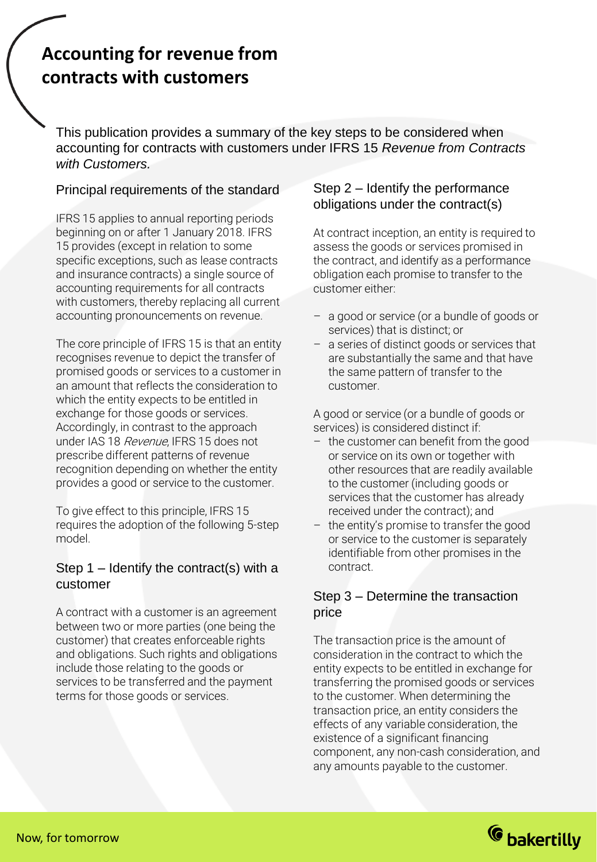# **Accounting for revenue from contracts with customers**

This publication provides a summary of the key steps to be considered when accounting for contracts with customers under IFRS 15 *Revenue from Contracts with Customers.*

### Principal requirements of the standard

IFRS 15 applies to annual reporting periods beginning on or after 1 January 2018. IFRS 15 provides (except in relation to some specific exceptions, such as lease contracts and insurance contracts) a single source of accounting requirements for all contracts with customers, thereby replacing all current accounting pronouncements on revenue.

The core principle of IFRS 15 is that an entity recognises revenue to depict the transfer of promised goods or services to a customer in an amount that reflects the consideration to which the entity expects to be entitled in exchange for those goods or services. Accordingly, in contrast to the approach under IAS 18 Revenue, IFRS 15 does not prescribe different patterns of revenue recognition depending on whether the entity provides a good or service to the customer.

To give effect to this principle, IFRS 15 requires the adoption of the following 5-step model.

## Step  $1$  – Identify the contract(s) with a customer

A contract with a customer is an agreement between two or more parties (one being the customer) that creates enforceable rights and obligations. Such rights and obligations include those relating to the goods or services to be transferred and the payment terms for those goods or services.

## Step 2 – Identify the performance obligations under the contract(s)

At contract inception, an entity is required to assess the goods or services promised in the contract, and identify as a performance obligation each promise to transfer to the customer either:

- a good or service (or a bundle of goods or services) that is distinct; or
- a series of distinct goods or services that are substantially the same and that have the same pattern of transfer to the customer.

A good or service (or a bundle of goods or services) is considered distinct if:

- the customer can benefit from the good or service on its own or together with other resources that are readily available to the customer (including goods or services that the customer has already received under the contract); and
- the entity's promise to transfer the good or service to the customer is separately identifiable from other promises in the contract.

# Step 3 – Determine the transaction price

The transaction price is the amount of consideration in the contract to which the entity expects to be entitled in exchange for transferring the promised goods or services to the customer. When determining the transaction price, an entity considers the effects of any variable consideration, the existence of a significant financing component, any non-cash consideration, and any amounts payable to the customer.